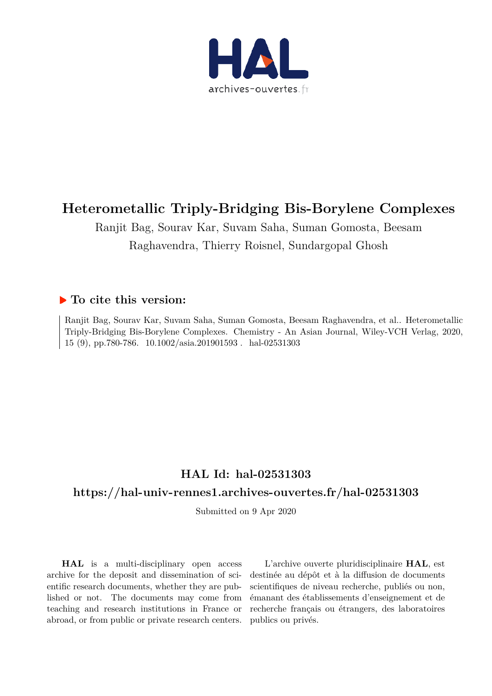

# **Heterometallic Triply-Bridging Bis-Borylene Complexes**

Ranjit Bag, Sourav Kar, Suvam Saha, Suman Gomosta, Beesam Raghavendra, Thierry Roisnel, Sundargopal Ghosh

### **To cite this version:**

Ranjit Bag, Sourav Kar, Suvam Saha, Suman Gomosta, Beesam Raghavendra, et al.. Heterometallic Triply-Bridging Bis-Borylene Complexes. Chemistry - An Asian Journal, Wiley-VCH Verlag, 2020, 15 (9), pp.780-786. 10.1002/asia.201901593. hal-02531303

## **HAL Id: hal-02531303**

### **https://hal-univ-rennes1.archives-ouvertes.fr/hal-02531303**

Submitted on 9 Apr 2020

**HAL** is a multi-disciplinary open access archive for the deposit and dissemination of scientific research documents, whether they are published or not. The documents may come from teaching and research institutions in France or abroad, or from public or private research centers.

L'archive ouverte pluridisciplinaire **HAL**, est destinée au dépôt et à la diffusion de documents scientifiques de niveau recherche, publiés ou non, émanant des établissements d'enseignement et de recherche français ou étrangers, des laboratoires publics ou privés.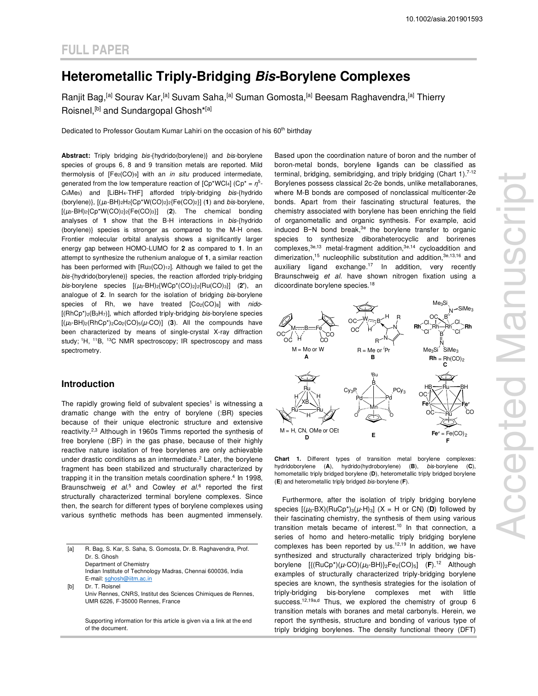## **Heterometallic Triply-Bridging Bis-Borylene Complexes**

Ranjit Bag,<sup>[a]</sup> Sourav Kar,<sup>[a]</sup> Suvam Saha,<sup>[a]</sup> Suman Gomosta,<sup>[a]</sup> Beesam Raghavendra,<sup>[a]</sup> Thierry Roisnel,<sup>[b]</sup> and Sundargopal Ghosh<sup>\*[a]</sup>

Dedicated to Professor Goutam Kumar Lahiri on the occasion of his 60<sup>th</sup> birthday

Abstract: Triply bridging bis-{hydrido(borylene)} and bis-borylene species of groups 6, 8 and 9 transition metals are reported. Mild thermolysis of [Fe2(CO)9] with an *in situ* produced intermediate, generated from the low temperature reaction of [Cp\*WCl<sub>4</sub>] (Cp\* = η<sup>5</sup>- $C_5Me_5$ ) and [LiBH<sub>4</sub>·THF] afforded triply-bridging bis-{hydrido (borylene)},  $[(\mu_3-BH)_2H_2{Cp*W(CO)_2}{_2}$ <sup>[Fe(CO)<sub>2</sub>]] (1) and *bis-borylene*,</sup>  $[(\mu_3-BH)_2$ {Cp<sup>\*</sup>W(CO)<sub>2</sub>}<sub>2</sub>{Fe(CO)<sub>3</sub>}] (2). The chemical bonding analyses of **1** show that the B-H interactions in bis-{hydrido (borylene)} species is stronger as compared to the M-H ones. Frontier molecular orbital analysis shows a significantly larger energy gap between HOMO-LUMO for **2** as compared to **1**. In an attempt to synthesize the ruthenium analogue of **1**, a similar reaction has been performed with [Ru<sub>3</sub>(CO)<sub>12</sub>]. Although we failed to get the bis-{hydrido(borylene)} species, the reaction afforded triply-bridging bis-borylene species [(µ3-BH)2{WCp\*(CO)2}2{Ru(CO)3}] (**2'**), an analogue of **2**. In search for the isolation of bridging bis-borylene species of Rh, we have treated  $[Co_{2}(CO)_{8}]$  with nido- $[(RhCp^*)_{2}(B_3H_7)]$ , which afforded triply-bridging *bis-borylene* species  $[(\mu_3-BH)_2(RhCp^*)_2CO_2(CO)_5(\mu\text{-}CO)]$  (3). All the compounds have been characterized by means of single-crystal X-ray diffraction study;<sup>1</sup>H, <sup>11</sup>B, <sup>13</sup>C NMR spectroscopy; IR spectroscopy and mass spectrometry.

#### **Introduction**

The rapidly growing field of subvalent species<sup>1</sup> is witnessing a dramatic change with the entry of borylene (:BR) species because of their unique electronic structure and extensive reactivity.<sup>2,3</sup> Although in 1960s Timms reported the synthesis of free borylene (:BF) in the gas phase, because of their highly reactive nature isolation of free borylenes are only achievable under drastic conditions as an intermediate. $2$  Later, the borylene fragment has been stabilized and structurally characterized by trapping it in the transition metals coordination sphere.<sup>4</sup> In 1998, Braunschweig et  $al^5$  and Cowley et  $al^6$  reported the first structurally characterized terminal borylene complexes. Since then, the search for different types of borylene complexes using various synthetic methods has been augmented immensely.

[a] R. Bag, S. Kar, S. Saha, S. Gomosta, Dr. B. Raghavendra, Prof. Dr. S. Ghosh Department of Chemistry Indian Institute of Technology Madras, Chennai 600036, India E-mail: sghosh@iitm.ac.in [b] Dr. T. Roisnel Univ Rennes, CNRS, Institut des Sciences Chimiques de Rennes, UMR 6226, F-35000 Rennes, France

> Supporting information for this article is given via a link at the end of the document.

Based upon the coordination nature of boron and the number of boron-metal bonds, borylene ligands can be classified as terminal, bridging, semibridging, and triply bridging (Chart  $1$ ).<sup>7-12</sup> Borylenes possess classical 2c-2e bonds, unlike metallaboranes, where M-B bonds are composed of nonclassical multicenter-2e bonds. Apart from their fascinating structural features, the chemistry associated with borylene has been enriching the field of organometallic and organic synthesis. For example, acid induced B−N bond break,3e the borylene transfer to organic species to synthesize diboraheterocyclic and borirenes complexes,3e,13 metal-fragment addition,3e,14 cycloaddition and dimerization,<sup>15</sup> nucleophilic substitution and addition,<sup>3e,13,16</sup> and auxiliary ligand exchange.<sup>17</sup> In addition, very recently Braunschweig et al. have shown nitrogen fixation using a dicoordinate borylene species.<sup>18</sup>



**Chart 1.** Different types of transition metal borylene complexes: hydridoborylene (**A**), hydrido(hydroborylene) (**B**), bis-borylene (**C**), homometallic triply bridged borylene (**D**), heterometallic triply bridged borylene (**E**) and heterometallic triply bridged bis-borylene (**F**).

Furthermore, after the isolation of triply bridging borylene species  $[(\mu_3-BX)(RuCp^*)_3(\mu-H)_3]$  (X = H or CN) (D) followed by their fascinating chemistry, the synthesis of them using various transition metals became of interest.<sup>10</sup> In that connection, a series of homo and hetero-metallic triply bridging borylene complexes has been reported by us. $12,19$  In addition, we have synthesized and structurally characterized triply bridging bisborylene  $[\{(\text{RuCp*})(\mu\text{-CO})(\mu_3\text{-}BH)\}_2\text{Fe}_2(\text{CO})_5]$  (F).<sup>12</sup> Although examples of structurally characterized triply-bridging borylene species are known, the synthesis strategies for the isolation of triply-bridging bis-borylene complexes met with little success.<sup>12,19a,d</sup> Thus, we explored the chemistry of group 6 transition metals with boranes and metal carbonyls. Herein, we report the synthesis, structure and bonding of various type of triply bridging borylenes. The density functional theory (DFT)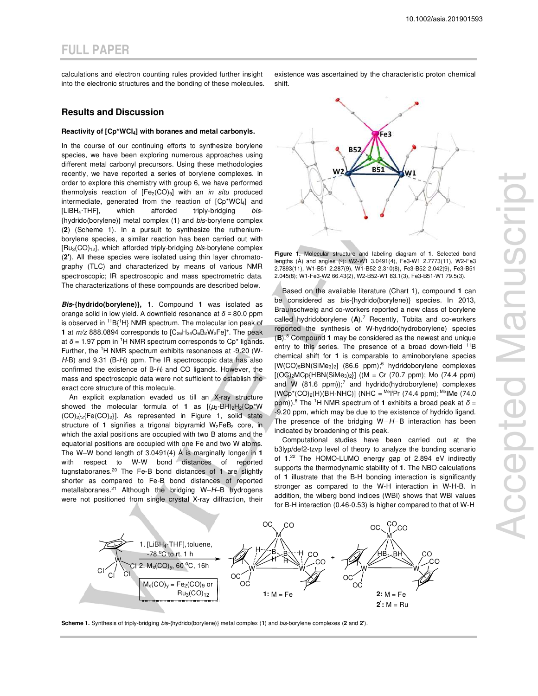calculations and electron counting rules provided further insight into the electronic structures and the bonding of these molecules.

#### **Results and Discussion**

#### **Reactivity of [Cp\*WCl4] with boranes and metal carbonyls.**

In the course of our continuing efforts to synthesize borylene species, we have been exploring numerous approaches using different metal carbonyl precursors. Using these methodologies recently, we have reported a series of borylene complexes. In order to explore this chemistry with group 6, we have performed thermolysis reaction of  $[Fe<sub>2</sub>(CO)<sub>9</sub>]$  with an *in situ* produced intermediate, generated from the reaction of [Cp\*WCl4] and [LiBH<sub>4</sub>⋅THF], which afforded triply-bridging bis-{hydrido(borylene)} metal complex (**1**) and bis-borylene complex (**2**) (Scheme 1). In a pursuit to synthesize the rutheniumborylene species, a similar reaction has been carried out with  $[Ru_3(CO)<sub>12</sub>]$ , which afforded triply-bridging bis-borylene complex (**2'**). All these species were isolated using thin layer chromatography (TLC) and characterized by means of various NMR spectroscopic; IR spectroscopic and mass spectrometric data. The characterizations of these compounds are described below.

**Bis-{hydrido(borylene)}, 1**. Compound **1** was isolated as orange solid in low yield. A downfield resonance at *δ =* 80.0 ppm is observed in  ${}^{11}B{}^{1}H$ } NMR spectrum. The molecular ion peak of **1** at  $m/z$  888.0894 corresponds to  $[C_{26}H_{34}O_6B_2W_2Fe]^+$ . The peak at  $\delta$  = 1.97 ppm in <sup>1</sup>H NMR spectrum corresponds to  $Cp^*$  ligands. Further, the 1H NMR spectrum exhibits resonances at -9.20 (W- $H-B$ ) and 9.31 (B- $H<sub>t</sub>$ ) ppm. The IR spectroscopic data has also confirmed the existence of  $B-H_t$  and CO ligands. However, the mass and spectroscopic data were not sufficient to establish the exact core structure of this molecule.

An explicit explanation evaded us till an X-ray structure showed the molecular formula of **1** as  $[(\mu_3-\overline{BH})_2H_2{Cp^*W}$  $(CO)_{2}$ <sub>2</sub>{Fe $(CO)_{2}$ }]. As represented in Figure 1, solid state structure of 1 signifies a trigonal bipyramid W<sub>2</sub>FeB<sub>2</sub> core, in which the axial positions are occupied with two B atoms and the equatorial positions are occupied with one Fe and two W atoms. The W–W bond length of 3.0491(4) Å is marginally longer in **1** with respect to W-W bond distances of reported tugnstaboranes.<sup>20</sup> The Fe-B bond distances of **1** are slightly shorter as compared to Fe-B bond distances of reported metallaboranes.<sup>21</sup> Although the bridging W-H-B hydrogens were not positioned from single crystal X-ray diffraction, their existence was ascertained by the characteristic proton chemical shift.



**Figure 1.** Molecular structure and labeling diagram of **1**. Selected bond lengths (Å) and angles (°): W2-W1 3.0491(4), Fe3-W1 2.7773(11), W2-Fe3 2.7893(11), W1-B51 2.287(9), W1-B52 2.310(8), Fe3-B52 2.042(9), Fe3-B51 2.045(8); W1-Fe3-W2 66.43(2), W2-B52-W1 83.1(3), Fe3-B51-W1 79.5(3).

Based on the available literature (Chart 1), compound **1** can be considered as bis-{hydrido(borylene)} species. In 2013, Braunschweig and co-workers reported a new class of borylene called hydridoborylene (**A**).<sup>7</sup> Recently, Tobita and co-workers reported the synthesis of W-hydrido(hydroborylene) species (**B**).<sup>8</sup> Compound **1** may be considered as the newest and unique entry to this series. The presence of a broad down-field <sup>11</sup>B chemical shift for **1** is comparable to aminoborylene species [W(CO)<sub>5</sub>BN(SiMe<sub>3</sub>)<sub>2</sub>] (86.6 ppm);<sup>6</sup> hydridoborylene complexes  $[ (OC)<sub>2</sub>MCp{HBN(SiMe<sub>3</sub>)<sub>2</sub>} ]$  ((M = Cr (70.7 ppm); Mo (74.4 ppm) and W  $(81.6 \text{ ppm})$ ;<sup>7</sup> and hydrido(hydroborylene) complexes  $[WCp^*(CO)_2(H)(BH\cdot NHC)]$  (NHC = <sup>Me</sup>l<sup>i</sup>Pr (74.4 ppm); <sup>Me</sup>lMe (74.0 ppm)).<sup>8</sup> The <sup>1</sup>H NMR spectrum of **1** exhibits a broad peak at *δ* = -9.20 ppm, which may be due to the existence of hydrido ligand. The presence of the bridging W−H−B interaction has been indicated by broadening of this peak.

Computational studies have been carried out at the b3lyp/def2-tzvp level of theory to analyze the bonding scenario of **1**. <sup>22</sup> The HOMO-LUMO energy gap of 2.894 eV indirectly supports the thermodynamic stability of **1**. The NBO calculations of **1** illustrate that the B-H bonding interaction is significantly stronger as compared to the W-H interaction in W-H-B. In addition, the wiberg bond indices (WBI) shows that WBI values for B-H interaction (0.46-0.53) is higher compared to that of W-H



**Scheme 1.** Synthesis of triply-bridging bis-{hydrido(borylene)} metal complex (**1**) and bis-borylene complexes (**2** and **2'**).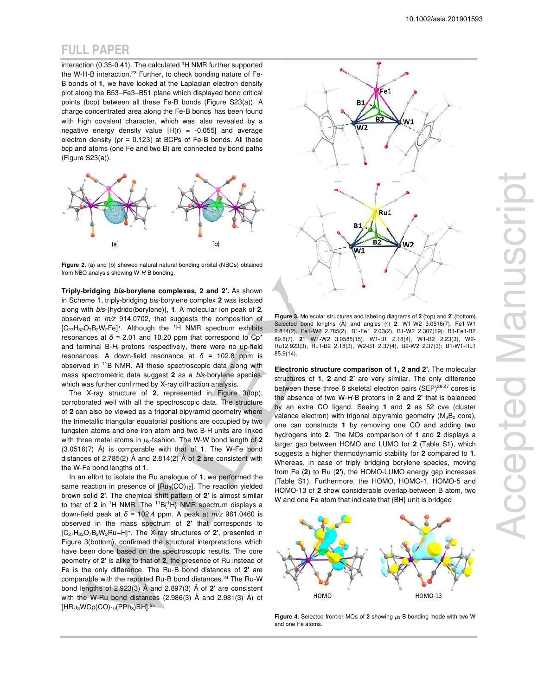interaction (0.35-0.41). The calculated <sup>1</sup>H NMR further supported the W-H-B interaction.<sup>23</sup> Further, to check bonding nature of Fe-B bonds of **1**, we have looked at the Laplacian electron density plot along the B53–Fe3–B51 plane which displayed bond critical points (bcp) between all these Fe-B bonds (Figure S23(a)). A charge concentrated area along the Fe-B bonds has been found with high covalent character, which was also revealed by a negative energy density value  $[H(r) = -0.055]$  and average electron density (ρr = 0.123) at BCPs of Fe-B bonds. All these bcp and atoms (one Fe and two B) are connected by bond paths (Figure S23(a)).



**Figure 2.** (a) and (b) showed natural natural bonding orbital (NBOs) obtained from NBO analysis showing W-H-B bonding.

**Triply-bridging bis-borylene complexes, 2 and 2'.** As shown in Scheme 1, triply-bridging bis-borylene complex **2** was isolated along with bis-{hydrido(borylene)}, **1**. A molecular ion peak of **2**, observed at  $m/z$  914.0702, that suggests the composition of  $[C_{27}H_{32}O_7B_2W_2Fe]^+$ . Although the <sup>1</sup>H NMR spectrum exhibits resonances at  $\delta$  = 2.01 and 10.20 ppm that correspond to Cp<sup>\*</sup> and terminal  $B-H<sub>t</sub>$  protons respectively, there were no up-field resonances. A down-field resonance at *δ =* 102.8 ppm is observed in <sup>11</sup>B NMR. All these spectroscopic data along with mass spectrometric data suggest **2** as a bis-borylene species, which was further confirmed by X-ray diffraction analysis.

The X-ray structure of **2**, represented in Figure 3(top), corroborated well with all the spectroscopic data. The structure of **2** can also be viewed as a trigonal bipyramid geometry where the trimetallic triangular equatorial positions are occupied by two tungsten atoms and one iron atom and two B-H units are linked with three metal atoms in  $\mu_3$ -fashion. The W-W bond length of 2 (3.0516(7) Å) is comparable with that of **1**. The W-Fe bond distances of 2.785(2) Å and 2.814(2) Å of **2** are consistent with the W-Fe bond lengths of **1**.

In an effort to isolate the Ru analogue of **1**, we performed the same reaction in presence of  $[Ru_3(CO)_{12}]$ . The reaction yielded brown solid **2'**. The chemical shift pattern of **2'** is almost similar to that of **2** in <sup>1</sup>H NMR. The <sup>11</sup>B{<sup>1</sup>H} NMR spectrum displays a down-field peak at *δ =* 102.4 ppm. A peak at m/z 961.0460 is observed in the mass spectrum of **2'** that corresponds to [C27H32O7B2W2Ru+H]<sup>+</sup> . The X-ray structures of **2'**, presented in Figure 3(bottom), confirmed the structural interpretations which have been done based on the spectroscopic results. The core geometry of **2'** is alike to that of **2**, the presence of Ru instead of Fe is the only difference. The Ru-B bond distances of **2'** are comparable with the reported Ru-B bond distances.<sup>24</sup> The Ru-W bond lengths of 2.923(3) Å and 2.897(3) Å of **2'** are consistent with the W-Ru bond distances (2.986(3) Å and 2.981(3) Å) of  $[HRu_3WCp(CO)_{10}(PPh_3)BH]$ .<sup>25</sup>



**Figure 3.** Molecular structures and labeling diagrams of **2** (top) and **2'** (bottom). Selected bond lengths (Å) and angles (ο) **2**: W1-W2 3.0516(7), Fe1-W1 2.814(2), Fe1-W2 2.785(2), B1-Fe1 2.03(2), B1-W2 2.307(19); B1-Fe1-B2 89.8(7). **2'**: W1-W2 3.0585(15), W1-B1 2.18(4), W1-B2 2.23(3), W2- Ru12.923(3), Ru1-B2 2.18(3), W2-B1 2.37(4), B2-W2 2.37(3); B1-W1-Ru1 85.9(14).

**Electronic structure comparison of 1, 2 and 2'.** The molecular structures of **1**, **2** and **2'** are very similar. The only difference between these three 6 skeletal electron pairs (SEP)<sup>26,27</sup> cores is the absence of two W-H-B protons in **2** and **2'** that is balanced by an extra CO ligand. Seeing **1** and **2** as 52 cve (cluster valance electron) with trigonal bipyramid geometry (M<sub>3</sub>B<sub>2</sub> core), one can constructs **1** by removing one CO and adding two hydrogens into **2**. The MOs comparison of **1** and **2** displays a larger gap between HOMO and LUMO for **2** (Table S1), which suggests a higher thermodynamic stability for **2** compared to **1**. Whereas, in case of triply bridging borylene species, moving from Fe (**2**) to Ru (**2'**), the HOMO-LUMO energy gap increases (Table S1). Furthermore, the HOMO, HOMO-1, HOMO-5 and HOMO-13 of **2** show considerable overlap between B atom, two W and one Fe atom that indicate that {BH} unit is bridged



**Figure 4.** Selected frontier MOs of 2 showing  $\mu$ 3-B bonding mode with two W and one Fe atoms.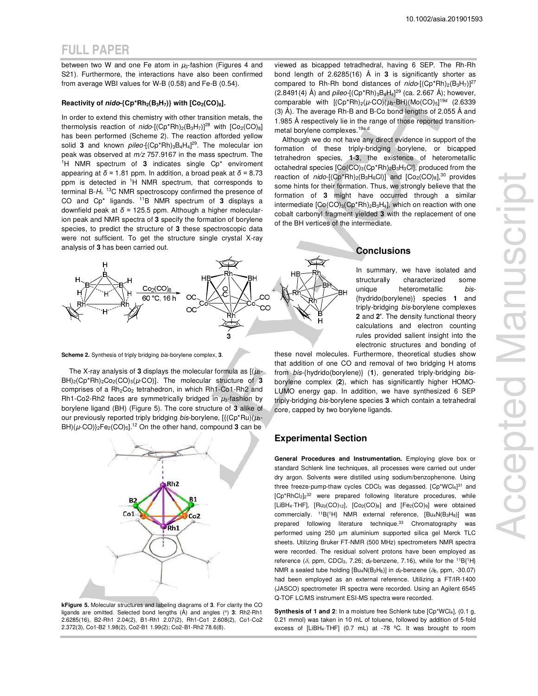between two W and one Fe atom in  $\mu_3$ -fashion (Figures 4 and S21). Furthermore, the interactions have also been confirmed from average WBI values for W-B (0.58) and Fe-B (0.54).

#### **Reactivity of nido-{Cp\*Rh2(B3H7)} with [Co2(CO)8].**

In order to extend this chemistry with other transition metals, the thermolysis reaction of nido- $[(Cp*Rh)_2(B_3H_7)]^{28}$  with  $[Co_2(CO)_8]$ has been performed (Scheme 2). The reaction afforded yellow solid 3 and known *pileo*-[(Cp\*Rh)<sub>3</sub>B<sub>4</sub>H<sub>4</sub>]<sup>29</sup>. The molecular ion peak was observed at m/z 757.9167 in the mass spectrum. The <sup>1</sup>H NMR spectrum of **3** indicates single Cp\* enviroment appearing at *δ =* 1.81 ppm. In addition, a broad peak at *δ =* 8.73 ppm is detected in <sup>1</sup>H NMR spectrum, that corresponds to terminal B- $H_t$ . <sup>13</sup>C NMR spectroscopy confirmed the presence of CO and Cp\* ligands. <sup>11</sup>B NMR spectrum of **3** displays a downfield peak at *δ =* 125.5 ppm. Although a higher molecularion peak and NMR spectra of **3** specify the formation of borylene species, to predict the structure of **3** these spectroscopic data were not sufficient. To get the structure single crystal X-ray analysis of **3** has been carried out.

 $Co<sub>2</sub>(CO)$ 60 °C, 16 h  $\infty$ **co**  $\alpha$ 

**Scheme 2.** Synthesis of triply bridging bis-borylene complex, **3**.

The X-ray analysis of **3** displays the molecular formula as  $[(\mu_3 - \mu_4)]$  $BH)_2$ ( $Cp*Rh)_2Co_2(CO)_5(\mu$ -CO)]. The molecular structure of 3 comprises of a Rh<sub>2</sub>Co<sub>2</sub> tetrahedron, in which Rh1-Co1-Rh2 and Rh1-Co2-Rh2 faces are symmetrically bridged in  $\mu_3$ -fashion by borylene ligand (BH) (Figure 5). The core structure of **3** alike of our previously reported triply bridging bis-borylene,  $[\{({Cp}^*Ru)(\mu_3-dq^*)\}$  $BH)(\mu$ -CO) $_{2}Fe_{2}(CO)_{5}$ ].<sup>12</sup> On the other hand, compound **3** can be



**kFigure 5.** Molecular structures and labeling diagrams of **3**. For clarity the CO ligands are omitted. Selected bond lengths (A) and angles (<sup>o</sup>) **3**: Rh2-Rh1 2.6285(16), B2-Rh1 2.04(2), B1-Rh1 2.07(2), Rh1-Co1 2.608(2), Co1-Co2 2.372(3), Co1-B2 1.98(2), Co2-B1 1.99(2); Co2-B1-Rh2 78.6(8).

viewed as bicapped tetradhedral, having 6 SEP. The Rh-Rh bond length of 2.6285(16) Å in **3** is significantly shorter as compared to Rh-Rh bond distances of  $nido$ - $(Cp*Rh)_{2}(B_3H_7)$ <sup>27</sup> (2.8491(4) Å) and *pileo*-[(Cp\*Rh)<sub>3</sub>B<sub>4</sub>H<sub>4</sub>]<sup>29</sup> (ca. 2.667 Å); however, comparable with  $[(Cp*Rh)<sub>2</sub>(\mu\text{-}CO)(\mu\text{s}-BH)(Mo(CO)<sub>5</sub>]^{19d}$  (2.6339) (3) Å). The average Rh-B and B-Co bond lengths of 2.055 Å and 1.985 Å respectively lie in the range of those reported transitionmetal borylene complexes.19a,d

Although we do not have any direct evidence in support of the formation of these triply-bridging borylene, or bicapped tetrahedron species, **1**-**3**, the existence of heterometallic octahedral species  $[Co(CO)<sub>3</sub>(Cp*Rh)<sub>2</sub>B<sub>3</sub>H<sub>3</sub>Cl]$ , produced from the reaction of  $nido$ -[(Cp\*Rh)<sub>2</sub>(B<sub>3</sub>H<sub>6</sub>Cl)] and [Co<sub>2</sub>(CO)<sub>8</sub>],<sup>30</sup> provides some hints for their formation. Thus, we strongly believe that the formation of **3** might have occurred through a similar intermediate  $[Co(CO)<sub>3</sub>(Cp*Rh)<sub>2</sub>B<sub>3</sub>H<sub>4</sub>]$ , which on reaction with one cobalt carbonyl fragment yielded **3** with the replacement of one of the BH vertices of the intermediate.

#### **Conclusions**

In summary, we have isolated and structurally characterized some unique heterometallic bis-{hydrido(borylene)} species **1** and triply-bridging bis-borylene complexes **2** and **2'**. The density functional theory calculations and electron counting rules provided salient insight into the electronic structures and bonding of

these novel molecules. Furthermore, theoretical studies show that addition of one CO and removal of two bridging H atoms from bis-{hydrido(borylene)} (**1**), generated triply-bridging bisborylene complex (**2**), which has significantly higher HOMO-LUMO energy gap. In addition, we have synthesized 6 SEP triply-bridging bis-borylene species **3** which contain a tetrahedral core, capped by two borylene ligands.

#### **Experimental Section**

**General Procedures and Instrumentation.** Employing glove box or standard Schlenk line techniques, all processes were carried out under dry argon. Solvents were distilled using sodium/benzophenone. Using three freeze-pump-thaw cycles CDCl<sub>3</sub> was degassed. [Cp\*WCl4]<sup>31</sup> and [Cp\*RhCl<sub>2</sub>]<sub>2</sub><sup>32</sup> were prepared following literature procedures, while [LiBH<sub>4</sub>·THF], [Ru<sub>3</sub>(CO)<sub>12</sub>], [Co<sub>2</sub>(CO)<sub>8</sub>] and [Fe<sub>2</sub>(CO)<sub>9</sub>] were obtained commercially. <sup>11</sup>B{<sup>1</sup>H} NMR external reference, [Bu<sub>4</sub>N(B<sub>3</sub>H<sub>8</sub>)] was prepared following literature technique.<sup>33</sup> Chromatography was performed using 250 µm aluminium supported silica gel Merck TLC sheets. Utilizing Bruker FT-NMR (500 MHz) spectrometers NMR spectra were recorded. The residual solvent protons have been employed as reference ( $\delta$ , ppm, CDCl<sub>3</sub>, 7.26;  $d_{\delta}$ -benzene, 7.16), while for the <sup>11</sup>B{<sup>1</sup>H} NMR a sealed tube holding [Bu<sub>4</sub>N(B<sub>3</sub>H<sub>8</sub>)] in  $d_6$ -benzene ( $\delta$ <sub>B</sub>, ppm, -30.07) had been employed as an external reference. Utilizing a FT/IR-1400 (JASCO) spectrometer IR spectra were recorded. Using an Agilent 6545 Q-TOF LC/MS instrument ESI-MS spectra were recorded.

**Synthesis of 1 and 2**: In a moisture free Schlenk tube [Cp\*WCl4], (0.1 g, 0.21 mmol) was taken in 10 mL of toluene, followed by addition of 5-fold excess of [LiBH4·THF] (0.7 mL) at -78 ºC. It was brought to room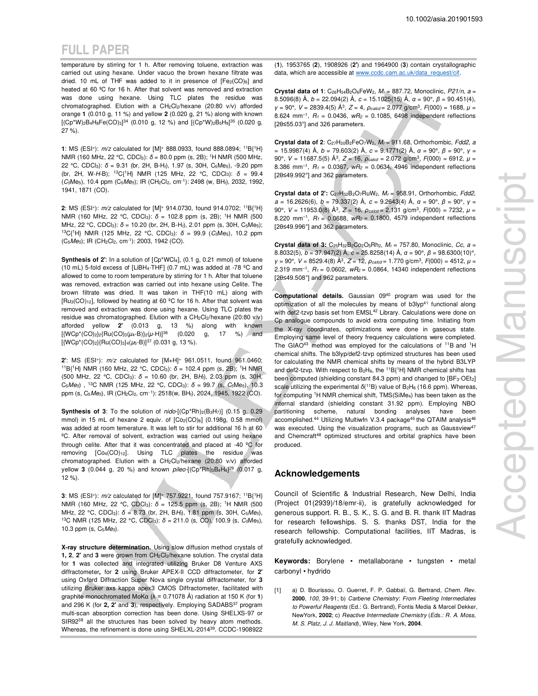temperature by stirring for 1 h. After removing toluene, extraction was carried out using hexane. Under vacuo the brown hexane filtrate was dried. 10 mL of THF was added to it in presence of  $[Fe<sub>2</sub>(CO)<sub>9</sub>]$  and heated at 60 ºC for 16 h. After that solvent was removed and extraction was done using hexane. Using TLC plates the residue was chromatographed. Elution with a CH<sub>2</sub>Cl<sub>2</sub>/hexane (20:80 v/v) afforded orange **1** (0.010 g, 11 %) and yellow **2** (0.020 g, 21 %) along with known  $[(Cp*W)_2B_4H_8Fe(CO)_3]^{34}$  (0.010 g, 12 %) and  $[(Cp*W)_2B_5H_9]^{35}$  (0.020 g, 27 %).

**1**: MS (ESI<sup>+</sup>):  $m/z$  calculated for [M]<sup>+</sup> 888.0933, found 888.0894; <sup>11</sup>B{<sup>1</sup>H} NMR (160 MHz, 22 °C, CDCl<sub>3</sub>):  $\delta$  = 80.0 ppm (s, 2B); <sup>1</sup>H NMR (500 MHz, 22 °C, CDCl<sub>3</sub>):  $\delta$  = 9.31 (br, 2H, B-H<sub>t</sub>), 1.97 (s, 30H, C<sub>5</sub>Me<sub>5</sub>), -9.20 ppm (br, 2H, W-H-B); <sup>13</sup>C{<sup>1</sup>H} NMR (125 MHz, 22 °C, CDCl3): *δ* = 99.4 (C<sub>5</sub>Me<sub>5</sub>), 10.4 ppm (C<sub>5</sub>Me<sub>5</sub>); IR (CH<sub>2</sub>Cl<sub>2</sub>, cm<sup>-1</sup>): 2498 (w, BH<sub>t</sub>), 2032, 1992, 1941, 1871 (CO).

**2**: MS (ESI<sup>+</sup> ): m/z calculated for [M]<sup>+</sup> 914.0730, found 914.0702; <sup>11</sup>B{<sup>1</sup>H} NMR (160 MHz, 22 °C, CDCl3): *δ* = 102.8 ppm (s, 2B); <sup>1</sup>H NMR (500 MHz, 22 °C, CDCl<sub>3</sub>): δ = 10.20 (br, 2H, B-H<sub>t</sub>), 2.01 ppm (s, 30H, C<sub>5</sub>Me<sub>5</sub>); <sup>13</sup>C{<sup>1</sup>H} NMR (125 MHz, 22 °C, CDCl<sub>3</sub>): δ = 99.9 (C<sub>5</sub>Me<sub>5</sub>), 10.2 ppm (C5Me5); IR (CH2Cl2, cm-1): 2003, 1942 (CO).

**Synthesis of 2'**: In a solution of [Cp\*WCl4], (0.1 g, 0.21 mmol) of toluene (10 mL) 5-fold excess of [LiBH<sub>4</sub>·THF] (0.7 mL) was added at -78  $^{\circ}$ C and allowed to come to room temperature by stirring for 1 h. After that toluene was removed, extraction was carried out into hexane using Celite. The brown filtrate was dried. It was taken in THF(10 mL) along with  $[Ru_3(CO)<sub>12</sub>]$ , followed by heating at 60 °C for 16 h. After that solvent was removed and extraction was done using hexane. Using TLC plates the residue was chromatographed. Elution with a CH<sub>2</sub>Cl<sub>2</sub>/hexane (20:80 v/v) afforded yellow **2'** (0.013 g, 13 %) along with known [{WCp\*(CO)2}2{Ru(CO)3(*μ*4-B)}2(*μ*-H)]<sup>36</sup> (0.020 g, 17 %) and [{WCp<sup>\*</sup>(CO)<sub>2</sub>}{Ru(CO)<sub>3</sub>}<sub>4</sub>( $\mu$ <sub>5</sub>-B)]<sup>37</sup> (0.031 g, 13 %).

**2'**: MS (ESI<sup>+</sup> ): m/z calculated for [M+H]<sup>+</sup> 961.0511, found 961.0460; <sup>11</sup>B{<sup>1</sup>H} NMR (160 MHz, 22 °C, CDCl<sub>3</sub>):  $\delta$  = 102.4 ppm (s, 2B); <sup>1</sup>H NMR (500 MHz, 22 °C, CDCl3): *δ* = 10.60 (br, 2H, BHt), 2.03 ppm (s, 30H, C<sub>5</sub>Me<sub>5</sub>), <sup>13</sup>C NMR (125 MHz, 22 °C, CDCl<sub>3</sub>):  $\delta$  = 99.7 (s, C<sub>5</sub>Me<sub>5</sub>), 10.3 ppm (s, C<sub>5</sub>Me<sub>5</sub>), IR (CH<sub>2</sub>Cl<sub>2</sub>, cm<sup>-1</sup>): 2518(w, BH<sub>t</sub>), 2024, 1945, 1922 (CO).

**Synthesis of 3:** To the solution of nido-[(Cp\*Rh)<sub>2</sub>(B<sub>3</sub>H<sub>7</sub>)] (0.15 g, 0.29 mmol) in 15 mL of hexane 2 equiv. of  $[Co_{2}(CO)_{8}]$  (0.198g, 0.58 mmol) was added at room temerature. It was left to stir for additional 16 h at 60 ºC. After removal of solvent, extraction was carried out using hexane through celite. After that it was concentrated and placed at -40 ºC for removing [Co4(CO)12]. Using TLC plates the residue was chromatographed. Elution with a CH<sub>2</sub>Cl<sub>2</sub>/hexane (20:80 v/v) afforded yellow **3** (0.044 g, 20 %) and known *pileo*-[(Cp\*Rh)<sub>3</sub>B<sub>4</sub>H<sub>4</sub>]<sup>29</sup> (0.017 g, 12 %).

**3**: MS (ESI<sup>+</sup>):  $m/z$  calculated for [M]<sup>+</sup> 757.9221, found 757.9167; <sup>11</sup>B{<sup>1</sup>H} NMR (160 MHz, 22 °C, CDCl<sub>3</sub>): δ = 125.5 ppm (s, 2B); <sup>1</sup>H NMR (500 MHz, 22 °C, CDCl<sub>3</sub>): δ = 8.73 (br, 2H, BH<sub>t</sub>), 1.81 ppm (s, 30H, C<sub>5</sub>Me<sub>5</sub>), <sup>13</sup>C NMR (125 MHz, 22 °C, CDCl3): *δ* = 211.0 (s, CO), 100.9 (s, C5Me5), 10.3 ppm (s,  $C_5Me_5$ ).

**X-ray structure determination.** Using slow diffusion method crystals of **1, 2**, **2'** and **3** were grown from CH2Cl2/hexane solution. The crystal data for **1** was collected and integrated utilizing Bruker D8 Venture AXS diffractometer**,** for **2** using Bruker APEX-II CCD diffractometer, for **2'** using Oxford Diffraction Super Nova single crystal diffractometer, for **3** utilizing Bruker axs kappa apex3 CMOS Diffractometer, facilitated with graphite monochromated MoKα (λ = 0.71078 Å) radiation at 150 K (for **1**) and 296 K (for 2, 2' and 3), respectively. Employing SADABS<sup>37</sup> program multi-scan absorption correction has been done. Using SHELXS-97 or SIR92<sup>38</sup> all the structures has been solved by heavy atom methods. Whereas, the refinement is done using SHELXL-2014<sup>39</sup>. CCDC-1908922 (**1**), 1953765 (**2**), 1908926 (**2'**) and 1964900 (**3**) contain crystallographic data, which are accessible at www.ccdc.cam.ac.uk/data\_request/cif.

**Crystal data of 1**:  $C_{26}H_{34}B_{2}O_{6}FeW_{2}$ ,  $M_{r} = 887.72$ , Monoclinic,  $P21/n$ ,  $a =$ 8.5096(8) Å, b = 22.094(2) Å, c = 15.1025(15) Å, *α* = 90°, *β* = 90.451(4), *γ* = 90°, *V* = 2839.4(5) Å<sup>3</sup>, *Z* = 4, *ρ<sub>calcd</sub>* = 2.077 g/cm<sup>3</sup>, *F*(000) = 1688, *μ* = 8.624 mm<sup>-1</sup>,  $R_1 = 0.0436$ ,  $wR_2 = 0.1085$ , 6498 independent reflections [2θ≤55.03°] and 326 parameters.

**Crystal data of 2:**  $C_{27}H_{30}B_2FeO_7W_2$ ,  $M_r = 911.68$ , Orthorhombic, Fdd2, a = 15.9987(4) Å, b = 79.603(2) Å, c = 9.1771(2) Å, *α* = 90°, *β* = 90°, *γ* = 90°, V = 11687.5(5) Å<sup>3</sup>, Z = 16,  $\rho_{\textit{calcd}}$  = 2.072 g/cm<sup>3</sup>, F(000) = 6912, μ = 8.386 mm<sup>-1</sup>,  $R_1 = 0.0367$ ,  $wR_2 = 0.0634$ , 4946 independent reflections [2θ≤49.992°] and 362 parameters.

Crystal data of 2': C<sub>27</sub>H<sub>32</sub>B<sub>2</sub>O<sub>7</sub>RuW<sub>2</sub>, M<sub>r</sub> = 958.91, Orthorhombic, Fdd2, a = 16.2626(6), b = 79.337(2) Å, c = 9.2643(4) Å, *α* = 90°, *β* = 90°, *γ* = 90°, *V* = 11953.0(8) Å<sup>3</sup>, *Z* = 16, *ρ<sub>calcd</sub>* = 2.131 g/cm<sup>3</sup>, *F*(000) = 7232, *μ* = 8.220 mm<sup>-1</sup>,  $R_1 = 0.0688$ ,  $wR_2 = 0.1800$ , 4579 independent reflections [2θ≤49.996°] and 362 parameters.

**Crystal data of 3:** C<sub>25</sub>H<sub>32</sub>B<sub>2</sub>Co<sub>2</sub>O<sub>5</sub>Rh<sub>2</sub>, M<sub>r</sub> = 757.80, Monoclinic, Cc, a = 8.8032(5), b = 37.947(2) Å, c = 25.8258(14) Å, *α* = 90°, *β* = 98.6300(10)°, *γ* = 90°, *V* = 8529.4(8) Å<sup>3</sup>, *Z* = 12, *ρ<sub>calcd</sub>* = 1.770 g/cm<sup>3</sup>, *F*(000) = 4512, *μ* = 2.319 mm<sup>-1</sup>,  $R_1 = 0.0602$ ,  $wR_2 = 0.0864$ , 14340 independent reflections [2θ≤49.508°] and 962 parameters.

**Computational details.** Gaussian 09<sup>40</sup> program was used for the optimization of all the molecules by means of  $b3$ lyp<sup>41</sup> functional along with def2-tzvp basis set from EMSL<sup>42</sup> Library. Calculations were done on Cp analogue compounds to avoid extra computing time. Initiating from the X-ray coordinates, optimizations were done in gaseous state. Employing same level of theory frequency calculations were completed. The GIAO<sup>43</sup> method was employed for the calculations of <sup>11</sup>B and <sup>1</sup>H chemical shifts. The b3lyp/def2-tzvp optimized structures has been used for calculating the NMR chemical shifts by means of the hybrid B3LYP and def2-tzvp. With respect to  $B_2H_6$ , the <sup>11</sup>B{<sup>1</sup>H} NMR chemical shifts has been computed (shielding constant 84.3 ppm) and changed to [BF<sub>3</sub>·OEt<sub>2</sub>] scale utilizing the experimental  $\delta$ <sup>(11</sup>B) value of B<sub>2</sub>H<sub>6</sub> (16.6 ppm). Whereas, for computing <sup>1</sup>H NMR chemical shift, TMS(SiMe4) has been taken as the internal standard (shielding constant 31.92 ppm). Employing NBO partitioning scheme, natural bonding analyses have been accomplished.<sup>44</sup> Utilizing Multiwfn V.3.4 package<sup>45</sup> the QTAIM analysis<sup>46</sup> was executed. Using the visualization programs, such as Gaussview<sup>47</sup> and Chemcraft<sup>48</sup> optimized structures and orbital graphics have been produced.

### **Acknowledgements**

Council of Scientific & Industrial Research, New Delhi, India (Project 01(2939)/18/emr-ii), is gratefully acknowledged for generous support. R. B., S. K., S. G. and B. R. thank IIT Madras for research fellowships. S. S. thanks DST, India for the research fellowship. Computational facilities, IIT Madras, is gratefully acknowledged.

**Keywords:** Borylene • metallaborane • tungsten • metal carbonyl • hydrido

[1] a) D. Bourissou, O. Guerret, F. P. Gabbaï, G. Bertrand, Chem. Rev. **2000**, 100, 39-91; b) Carbene Chemistry: From Fleeting Intermediates to Powerful Reagents (Ed.: G. Bertrand), Fontis Media & Marcel Dekker, NewYork, **2002**; c) Reactive Intermediate Chemistry (Eds.: R. A. Moss, M. S. Platz, J. J. Maitland), Wiley, New York, **2004**.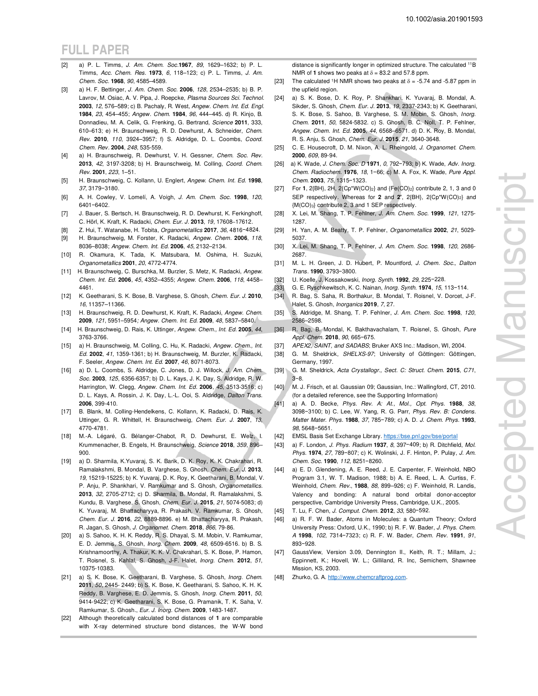- [2] a) P. L. Timms, J. Am. Chem. Soc.**1967**, 89, 1629–1632; b) P. L. Timms, Acc. Chem. Res. **1973**, 6, 118–123; c) P. L. Timms, J. Am. Chem. Soc. **1968**, 90, 4585–4589.
- [3] a) H. F. Bettinger, J. Am. Chem. Soc. **2006**, 128, 2534–2535; b) B. P. Lavrov, M. Osiac, A. V. Pipa, J. Roepcke, Plasma Sources Sci. Technol. **2003**, 12, 576–589; c) B. Pachaly, R. West, Angew. Chem. Int. Ed. Engl. **1984**, 23, 454–455; Angew. Chem. **1984**, 96, 444–445. d) R. Kinjo, B. Donnadieu, M. A. Celik, G. Frenking, G. Bertrand, Science **2011**, 333, 610–613; e) H. Braunschweig, R. D. Dewhurst, A. Schneider, Chem. Rev. **2010**, 110, 3924–3957; f) S. Aldridge, D. L. Coombs, Coord. Chem. Rev. **2004**, 248, 535-559.
- [4] a) H. Braunschweig, R. Dewhurst, V. H. Gessner, Chem. Soc. Rev. **2013**, 42, 3197-3208; b) H. Braunschweig, M. Colling, Coord. Chem. Rev. **2001**, 223, 1–51.
- [5] H. Braunschweig, C. Kollann, U. Englert, Angew. Chem. Int. Ed. **1998**, 37, 3179−3180.
- [6] A. H. Cowley, V. Lomelí, A. Voigh, J. Am. Chem. Soc. **1998**, 120, 6401−6402.
- [7] J. Bauer, S. Bertsch, H. Braunschweig, R. D. Dewhurst, K. Ferkinghoff, C. Hörl, K. Kraft, K. Radacki, Chem. Eur. J. **2013**, 19, 17608–17612.
- [8] Z. Hui, T. Watanabe, H. Tobita, Organometallics **2017**, 36, 4816−4824. [9] H. Braunschweig, M. Forster, K. Radacki, Angew. Chem. **2006**, 118,
- 8036–8038; Angew. Chem. Int. Ed. **2006**, 45, 2132–2134. [10] R. Okamura, K. Tada, K. Matsubara, M. Oshima, H. Suzuki, Organometallics **2001**, 20, 4772-4774.
- [11] H. Braunschweig, C. Burschka, M. Burzler, S. Metz, K. Radacki, Angew. Chem. Int. Ed. **2006**, 45, 4352–4355; Angew. Chem. **2006**, 118, 4458– 4461.
- [12] K. Geetharani, S. K. Bose, B. Varghese, S. Ghosh, Chem. Eur. J. **2010**, 16, 11357–11366.
- [13] H. Braunschweig, R. D. Dewhurst, K. Kraft, K. Radacki, Angew. Chem. **2009**, 121, 5951–5954; Angew. Chem. Int. Ed. **2009**, 48, 5837–5840.
- [14] H. Braunschweig, D. Rais, K. Uttinger, Angew. Chem., Int. Ed. **2005**, 44, 3763-3766.
- [15] a) H. Braunschweig, M. Colling, C. Hu, K. Radacki, Angew. Chem., Int. Ed. **2002**, 41, 1359-1361; b) H. Braunschweig, M. Burzler, K. Radacki, F. Seeler, Angew. Chem. Int. Ed. **2007**, 46, 8071-8073.
- [16] a) D. L. Coombs, S. Aldridge, C. Jones, D. J. Willock, J. Am. Chem. Soc. **2003**, 125, 6356-6357; b) D. L. Kays, J. K. Day, S. Aldridge, R. W. Harrington, W. Clegg, Angew. Chem. Int. Ed. **2006**, 45, 3513-3516; c) D. L. Kays, A. Rossin, J. K. Day, L.-L. Ooi, S. Aldridge, Dalton Trans. **2006**, 399-410.
- [17] B. Blank, M. Colling-Hendelkens, C. Kollann, K. Radacki, D. Rais, K. Uttinger, G. R. Whittell, H. Braunschweig, Chem. Eur. J. **2007**, 13, 4770-4781.
- [18] M.-A. Légaré, G. Bélanger-Chabot, R. D. Dewhurst, E. Welz, I. Krummenacher, B. Engels, H. Braunschweig, Science **2018**, 359, 896– 900.
- [19] a) D. Sharmila, K.Yuvaraj, S. K. Barik, D. K. Roy, K. K. Chakrahari, R. Ramalakshmi, B. Mondal, B. Varghese, S. Ghosh, Chem. Eur. J. **2013**, 19, 15219-15225; b) K. Yuvaraj, D. K. Roy, K. Geetharani, B. Mondal, V. P. Anju, P. Shankhari, V. Ramkumar and S. Ghosh, Organometallics. **2013**, 32, 2705-2712; c) D. Sharmila, B. Mondal, R. Ramalakshmi, S. Kundu, B. Varghese, S. Ghosh, Chem. Eur. J. **2015**, 21, 5074-5083; d) K. Yuvaraj, M. Bhattacharyya, R. Prakash, V. Ramkumar, S. Ghosh, Chem. Eur. J. **2016**, 22, 8889-8896. e) M. Bhattacharyya, R. Prakash, R. Jagan, S. Ghosh, J. Organomet. Chem. **2018**, 866, 79-86.
- [20] a) S. Sahoo, K. H. K. Reddy, R. S. Dhayal, S. M. Mobin, V. Ramkumar, E. D. Jemmis, S. Ghosh, Inorg. Chem. **2009**, 48, 6509-6516. b) B. S. Krishnamoorthy, A. Thakur, K. K. V. Chakrahari, S. K. Bose, P. Hamon, T. Roisnel, S. Kahlal, S. Ghosh, J-F. Halet, Inorg. Chem. **2012**, 51, 10375-10383.
- [21] a) S. K. Bose, K. Geetharani, B. Varghese, S. Ghosh, Inorg. Chem. **2011**, 50, 2445- 2449; b) S. K. Bose, K. Geetharani, S. Sahoo, K. H. K. Reddy, B. Varghese, E. D. Jemmis, S. Ghosh, Inorg. Chem. **2011**, 50, 9414-9422; c) K. Geetharani, S. K. Bose, G. Pramanik, T. K. Saha, V. Ramkumar, S. Ghosh., Eur. J. Inorg. Chem. **2009**, 1483-1487.
- [22] Although theoretically calculated bond distances of **1** are comparable with X-ray determined structure bond distances, the W-W bond

distance is significantly longer in optimized structure. The calculated <sup>11</sup>B NMR of 1 shows two peaks at  $\delta = 83.2$  and 57.8 ppm.

- [23] The calculated <sup>1</sup>H NMR shows two peaks at  $\delta$  = -5.74 and -5.87 ppm in the upfield region.
- [24] a) S. K. Bose, D. K. Roy, P. Shankhari, K. Yuvaraj, B. Mondal, A. Sikder, S. Ghosh, Chem. Eur. J. **2013**, 19, 2337-2343; b) K. Geetharani, S. K. Bose, S. Sahoo, B. Varghese, S. M. Mobin, S. Ghosh, Inorg. Chem. **2011**, 50, 5824-5832. c) S. Ghosh, B. C. Noll, T. P. Fehlner, Angew. Chem. Int. Ed. **2005**, 44, 6568–6571. d) D. K. Roy, B. Mondal, R. S. Anju, S. Ghosh, Chem. Eur. J. **2015**, 21, 3640-3648.
- [25] C. E. Housecroft, D. M. Nixon, A. L. Rheingold, J. Organomet. Chem. **2000**, 609, 89-94.
- [26] a) K. Wade, J. Chem. Soc. D **1971**, 0, 792−793; b) K. Wade, Adv. Inorg. Chem. Radiochem. **1976**, 18, 1−66; c) M. A. Fox, K. Wade, Pure Appl. Chem. **2003**, 75, 1315−1323.
- [27] For **1**, 2{BH}, 2H, 2{Cp<sup>\*</sup>W(CO)<sub>2</sub>} and {Fe(CO)<sub>2</sub>} contribute 2, 1, 3 and 0 SEP respectively. Whereas for **2** and **2'**, 2{BH}, 2{Cp\*W(CO)2} and {M(CO)3} contribute 2, 3 and 1 SEP respectively.
- [28] X. Lei, M. Shang, T. P. Fehlner, J. Am. Chem. Soc. **1999**, 121, 1275- 1287.
- [29] H. Yan, A. M. Beatty, T. P. Fehlner, Organometallics **2002**, 21, 5029- 5037.
- [30] X. Lei, M. Shang, T. P. Fehlner, J. Am. Chem. Soc. **1998**, 120, 2686- 2687.
- [31] M. L. H. Green, J. D. Hubert, P. Mountford, J. Chem. Soc., Dalton Trans. **1990**, 3793−3800.
- [32] U. Koelle, J. Kossakowski, Inorg. Synth. **1992**, 29, 225−228.
- [33] G. E. Ryschkewitsch, K. C. Nainan, Inorg. Synth. **1974**, 15, 113−114. [34] R. Bag, S. Saha, R. Borthakur, B. Mondal, T. Roisnel, V. Dorcet, J-F.
- Halet, S. Ghosh, Inorganics **2019**, 7, 27.
- [35] S. Aldridge, M. Shang, T. P. Fehlner, J. Am. Chem. Soc. **1998**, 120, 2586–2598.
- [36] R. Bag, B. Mondal, K. Bakthavachalam, T. Roisnel, S. Ghosh, Pure Appl. Chem. **2018**, 90, 665−675.
- [37] APEX2, SAINT, and SADABS; Bruker AXS Inc.: Madison, WI, 2004. [38] G. M. Sheldrick, SHELXS-97; University of Göttingen: Göttingen,
- Germany, 1997. [39] G. M. Sheldrick, Acta Crystallogr., Sect. C: Struct. Chem. **2015**, C71, 3−8.
- [40] M. J. Frisch, et al. Gaussian 09; Gaussian, Inc.: Wallingford, CT, 2010. (for a detailed reference, see the Supporting Information)
- [41] a) A. D. Becke, Phys. Rev. A: At., Mol., Opt. Phys. **1988**, 38, 3098−3100; b) C. Lee, W. Yang, R. G. Parr, Phys. Rev. B: Condens. Matter Mater. Phys. **1988**, 37, 785−789; c) A. D. J. Chem. Phys. **1993**, 98, 5648−5651.
- [42] EMSL Basis Set Exchange Library. https://bse.pnl.gov/bse/portal
- [43] a) F. London, J. Phys. Radium **1937**, 8, 397−409; b) R. Ditchfield, Mol. Phys. **1974**, 27, 789−807; c) K. Wolinski, J. F. Hinton, P. Pulay, J. Am. Chem. Soc. **1990**, 112, 8251−8260.
- [44] a) E. D. Glendening, A. E. Reed, J. E. Carpenter, F. Weinhold, NBO Program 3.1, W. T. Madison, 1988; b) A. E. Reed, L. A. Curtiss, F. Weinhold, Chem. Rev., **1988**, 88, 899–926; c) F. Weinhold, R. Landis, Valency and bonding: A natural bond orbital donor-acceptor perspective, Cambridge University Press, Cambridge, U.K., 2005.
- [45] T. Lu, F. Chen, J. Comput. Chem. **2012**, 33, 580−592.
- [46] a) R. F. W. Bader, Atoms in Molecules: a Quantum Theory; Oxford University Press: Oxford, U.K., 1990; b) R. F. W. Bader, J. Phys. Chem. A **1998**, 102, 7314−7323; c) R. F. W. Bader, Chem. Rev. **1991**, 91, 893−928.
- [47] GaussView, Version 3.09, Dennington II., Keith, R. T.; Millam, J.; Eppinnett, K.; Hovell, W. L.; Gilliland, R. Inc, Semichem, Shawnee Mission, KS, 2003.
- [48] Zhurko, G. A. http://www.chemcraftprog.com.